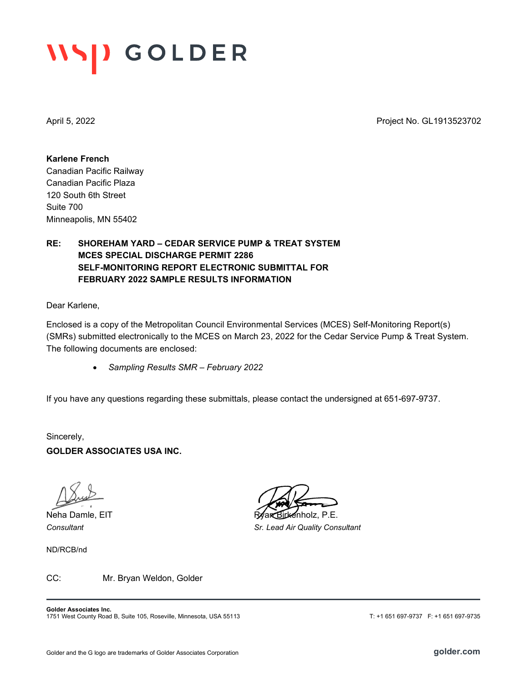# **IISD GOLDER**

April 5, 2022 Project No. GL1913523702

**Karlene French** Canadian Pacific Railway Canadian Pacific Plaza 120 South 6th Street Suite 700 Minneapolis, MN 55402

## **RE: SHOREHAM YARD – CEDAR SERVICE PUMP & TREAT SYSTEM MCES SPECIAL DISCHARGE PERMIT 2286 SELF-MONITORING REPORT ELECTRONIC SUBMITTAL FOR FEBRUARY 2022 SAMPLE RESULTS INFORMATION**

Dear Karlene,

Enclosed is a copy of the Metropolitan Council Environmental Services (MCES) Self-Monitoring Report(s) (SMRs) submitted electronically to the MCES on March 23, 2022 for the Cedar Service Pump & Treat System. The following documents are enclosed:

• *Sampling Results SMR – February 2022*

If you have any questions regarding these submittals, please contact the undersigned at 651-697-9737.

Sincerely, **GOLDER ASSOCIATES USA INC.**

ND/RCB/nd

Neha Damle, EIT Ryan Birkenholz, P.E. *Consultant Sr. Lead Air Quality Consultant*

CC: Mr. Bryan Weldon, Golder

**Golder Associates Inc.** 1751 West County Road B, Suite 105, Roseville, Minnesota, USA 55113 T: +1 651 697-9737 F: +1 651 697-9735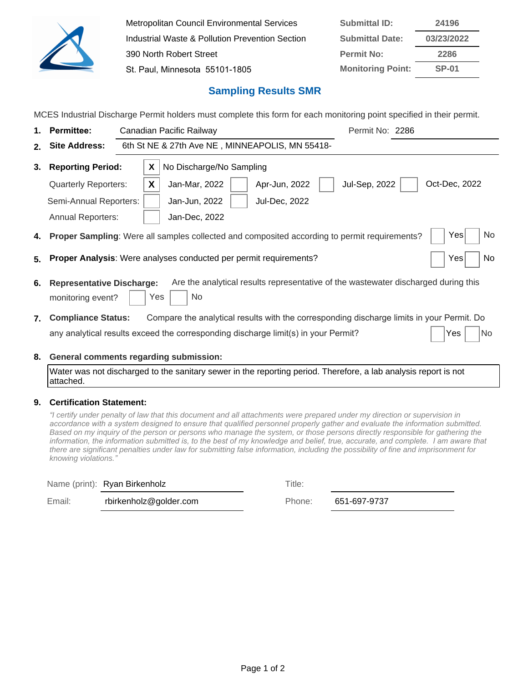

Metropolitan Council Environmental Services Industrial Waste & Pollution Prevention Section 390 North Robert Street St. Paul, Minnesota 55101-1805 **Submittal ID: 24196 Submittal Date: 03/23/2022 Permit No: 2286 Monitoring Point: SP-01**

## **Sampling Results SMR**

MCES Industrial Discharge Permit holders must complete this form for each monitoring point specified in their permit.

| 1. | <b>Permittee:</b>                                     | Permit No: 2286<br>Canadian Pacific Railway                                                                      |  |  |  |  |  |  |  |
|----|-------------------------------------------------------|------------------------------------------------------------------------------------------------------------------|--|--|--|--|--|--|--|
| 2. | <b>Site Address:</b>                                  | 6th St NE & 27th Ave NE, MINNEAPOLIS, MN 55418-                                                                  |  |  |  |  |  |  |  |
| 3. | <b>Reporting Period:</b>                              | No Discharge/No Sampling<br>X                                                                                    |  |  |  |  |  |  |  |
|    | <b>Quarterly Reporters:</b>                           | Oct-Dec, 2022<br>X<br>Apr-Jun, 2022<br><b>Jul-Sep, 2022</b><br>Jan-Mar, 2022                                     |  |  |  |  |  |  |  |
|    | Semi-Annual Reporters:                                | Jan-Jun, 2022<br><b>Jul-Dec, 2022</b>                                                                            |  |  |  |  |  |  |  |
|    | <b>Annual Reporters:</b>                              | Jan-Dec, 2022                                                                                                    |  |  |  |  |  |  |  |
| 4. |                                                       | Yes<br>No<br><b>Proper Sampling:</b> Were all samples collected and composited according to permit requirements? |  |  |  |  |  |  |  |
| 5. |                                                       | <b>Proper Analysis:</b> Were analyses conducted per permit requirements?<br>No<br>Yes                            |  |  |  |  |  |  |  |
| 6. | <b>Representative Discharge:</b><br>monitoring event? | Are the analytical results representative of the wastewater discharged during this<br>No<br>Yes                  |  |  |  |  |  |  |  |
| 7. | <b>Compliance Status:</b>                             | Compare the analytical results with the corresponding discharge limits in your Permit. Do                        |  |  |  |  |  |  |  |
|    |                                                       | any analytical results exceed the corresponding discharge limit(s) in your Permit?<br>No<br>Yes                  |  |  |  |  |  |  |  |
| 8. |                                                       | General comments regarding submission:                                                                           |  |  |  |  |  |  |  |

Water was not discharged to the sanitary sewer in the reporting period. Therefore, a lab analysis report is not attached.

### **9. Certification Statement:**

*³*I certify under penalty of law that this document and all attachments were prepared under my direction or supervision in accordance with a system designed to ensure that qualified personnel properly gather and evaluate the information submitted. Based on my inquiry of the person or persons who manage the system, or those persons directly responsible for gathering the information, the information submitted is, to the best of my knowledge and belief, true, accurate, and complete. I am aware that there are significant penalties under law for submitting false information, including the possibility of fine and imprisonment for knowing violations.*´*

|        | Name (print): Ryan Birkenholz | Title: |
|--------|-------------------------------|--------|
| Email: | rbirkenholz@golder.com        | Phone: |

651-697-9737